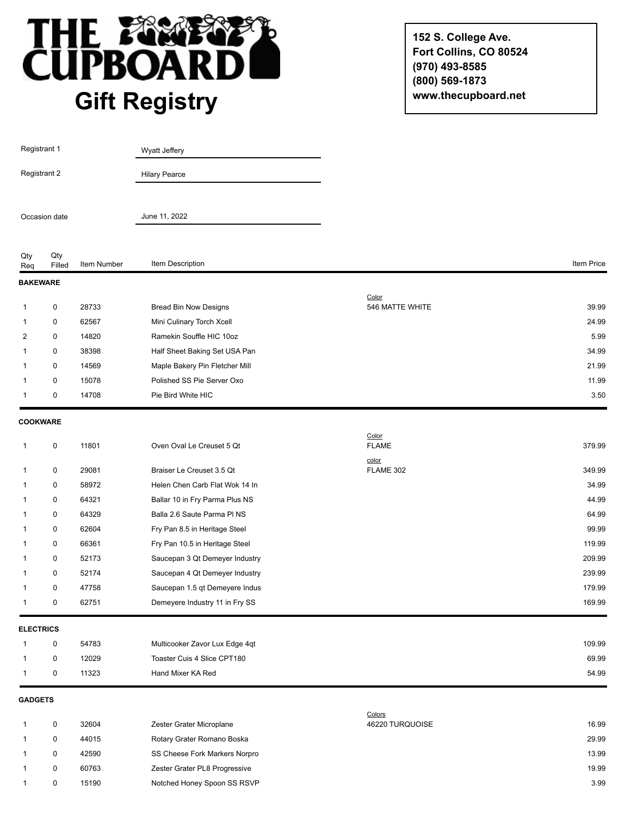

**152 S. College Ave. Fort Collins, CO 80524 (970) 493-8585 (800) 569-1873 www.thecupboard.net**

| Registrant 1<br>Registrant 2 |               |                | <b>Wyatt Jeffery</b>                             |                       |               |
|------------------------------|---------------|----------------|--------------------------------------------------|-----------------------|---------------|
|                              |               |                | <b>Hilary Pearce</b>                             |                       |               |
| Occasion date                |               |                | June 11, 2022                                    |                       |               |
| Qty<br>Req                   | Qty<br>Filled | Item Number    | Item Description                                 |                       | Item Price    |
| <b>BAKEWARE</b>              |               |                |                                                  |                       |               |
|                              |               |                |                                                  | Color                 |               |
| 1                            | 0             | 28733          | <b>Bread Bin Now Designs</b>                     | 546 MATTE WHITE       | 39.99         |
| 1                            | 0             | 62567          | Mini Culinary Torch Xcell                        |                       | 24.99         |
| $\overline{2}$               | 0             | 14820          | Ramekin Souffle HIC 10oz                         |                       | 5.99          |
| 1                            | 0             | 38398          | Half Sheet Baking Set USA Pan                    |                       | 34.99         |
| 1                            | 0             | 14569          | Maple Bakery Pin Fletcher Mill                   |                       | 21.99         |
| 1<br>1                       | 0<br>0        | 15078<br>14708 | Polished SS Pie Server Oxo<br>Pie Bird White HIC |                       | 11.99<br>3.50 |
|                              |               |                |                                                  |                       |               |
| <b>COOKWARE</b>              |               |                |                                                  |                       |               |
| 1                            | 0             | 11801          | Oven Oval Le Creuset 5 Qt                        | Color<br><b>FLAME</b> | 379.99        |
| 1                            | 0             | 29081          | Braiser Le Creuset 3.5 Qt                        | color<br>FLAME 302    | 349.99        |
| 1                            | 0             | 58972          | Helen Chen Carb Flat Wok 14 In                   |                       | 34.99         |
| 1                            | 0             | 64321          | Ballar 10 in Fry Parma Plus NS                   |                       | 44.99         |
| 1                            | 0             | 64329          | Balla 2.6 Saute Parma PI NS                      |                       | 64.99         |
| 1                            | 0             | 62604          | Fry Pan 8.5 in Heritage Steel                    |                       | 99.99         |
| 1                            | 0             | 66361          | Fry Pan 10.5 in Heritage Steel                   |                       | 119.99        |
| 1                            | 0             | 52173          | Saucepan 3 Qt Demeyer Industry                   |                       | 209.99        |
| 1                            | 0             | 52174          | Saucepan 4 Qt Demeyer Industry                   |                       | 239.99        |
| 1                            | 0             | 47758          | Saucepan 1.5 qt Demeyere Indus                   |                       | 179.99        |
|                              | 0             | 62751          | Demeyere Industry 11 in Fry SS                   |                       | 169.99        |
| <b>ELECTRICS</b>             |               |                |                                                  |                       |               |
| 1                            | 0             | 54783          | Multicooker Zavor Lux Edge 4qt                   |                       | 109.99        |
| 1                            | 0             | 12029          | Toaster Cuis 4 Slice CPT180                      |                       | 69.99         |
| 1                            | 0             | 11323          | Hand Mixer KA Red                                |                       | 54.99         |
|                              |               |                |                                                  |                       |               |
| <b>GADGETS</b>               |               |                |                                                  | Colors                |               |
| 1                            | 0             | 32604          | Zester Grater Microplane                         | 46220 TURQUOISE       | 16.99         |
|                              | 0             | 44015          | Rotary Grater Romano Boska                       |                       | 29.99         |
| 1                            | 0             | 42590          | SS Cheese Fork Markers Norpro                    |                       | 13.99         |

1 0 60763 Zester Grater PL8 Progressive 19.99 2012 19.99

1 0 15190 Notched Honey Spoon SS RSVP 3.99